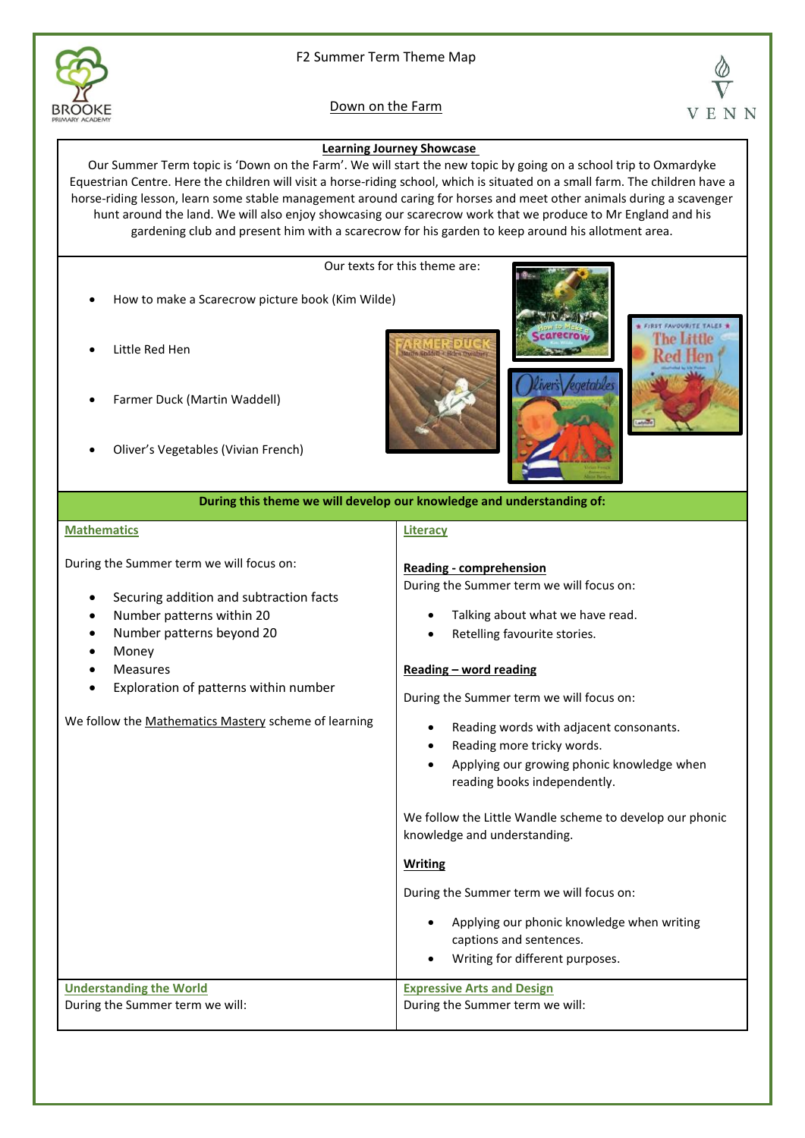

# F2 Summer Term Theme Map

# Down on the Farm



## **Learning Journey Showcase**

Our Summer Term topic is 'Down on the Farm'. We will start the new topic by going on a school trip to Oxmardyke Equestrian Centre. Here the children will visit a horse-riding school, which is situated on a small farm. The children have a horse-riding lesson, learn some stable management around caring for horses and meet other animals during a scavenger hunt around the land. We will also enjoy showcasing our scarecrow work that we produce to Mr England and his gardening club and present him with a scarecrow for his garden to keep around his allotment area.

Our texts for this theme are:

- How to make a Scarecrow picture book (Kim Wilde)
- Little Red Hen
- Farmer Duck (Martin Waddell)
- Oliver's Vegetables (Vivian French)







## **During this theme we will develop our knowledge and understanding of:**

#### **Mathematics**

During the Summer term we will focus on:

- Securing addition and subtraction facts
- Number patterns within 20
- Number patterns beyond 20
- **Money**
- **Measures**
- Exploration of patterns within number

We follow the Mathematics Mastery scheme of learning

## **Literacy**

## **Reading - comprehension**

During the Summer term we will focus on:

- Talking about what we have read.
- Retelling favourite stories.

### **Reading – word reading**

During the Summer term we will focus on:

- Reading words with adjacent consonants.
- Reading more tricky words.
- Applying our growing phonic knowledge when reading books independently.

We follow the Little Wandle scheme to develop our phonic knowledge and understanding.

#### **Writing**

During the Summer term we will focus on:

• Applying our phonic knowledge when writing captions and sentences. • Writing for different purposes. **Understanding the World**  During the Summer term we will: **Expressive Arts and Design** During the Summer term we will: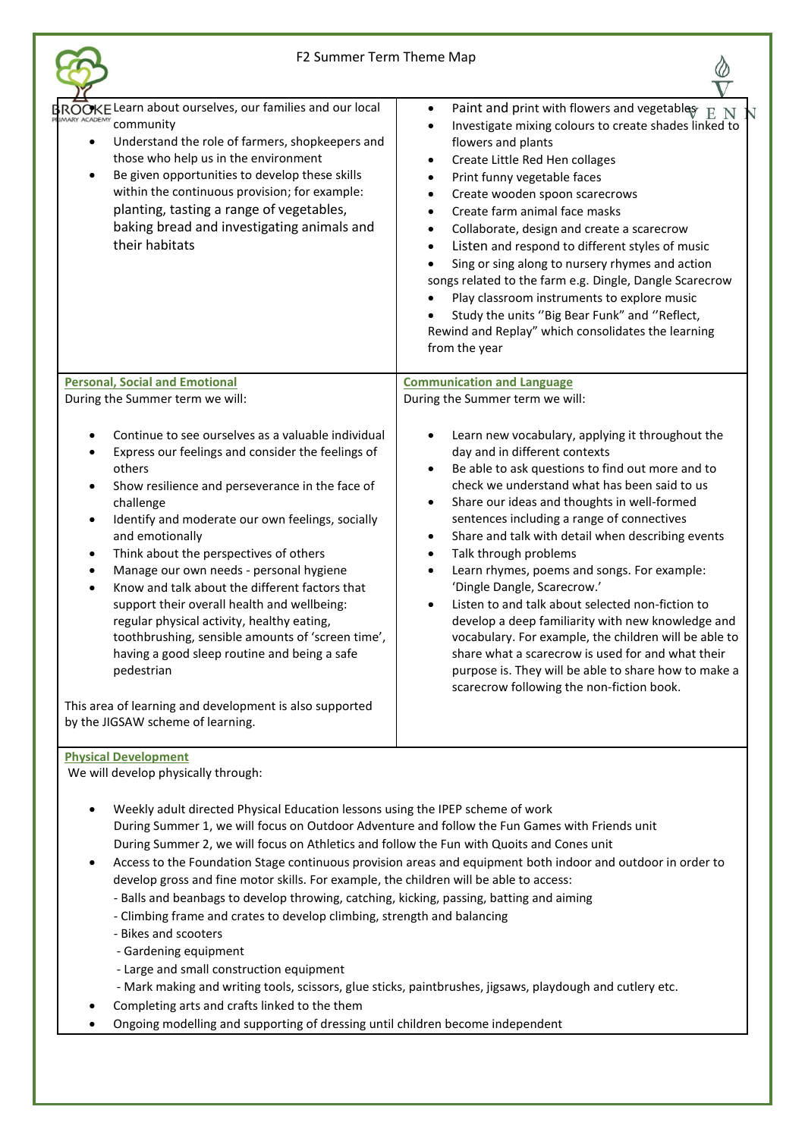$\oslash$ 

| ROOKE Learn about ourselves, our families and our local<br>MARY ACADEMY<br>community<br>Understand the role of farmers, shopkeepers and<br>those who help us in the environment<br>Be given opportunities to develop these skills<br>within the continuous provision; for example:<br>planting, tasting a range of vegetables,<br>baking bread and investigating animals and<br>their habitats                                                                                                                                                                                                                                                         | Paint and print with flowers and vegetables<br>$\bullet$<br>E.<br>Investigate mixing colours to create shades linked to<br>$\bullet$<br>flowers and plants<br>Create Little Red Hen collages<br>$\bullet$<br>Print funny vegetable faces<br>$\bullet$<br>Create wooden spoon scarecrows<br>$\bullet$<br>Create farm animal face masks<br>$\bullet$<br>Collaborate, design and create a scarecrow<br>$\bullet$<br>Listen and respond to different styles of music<br>$\bullet$<br>Sing or sing along to nursery rhymes and action<br>$\bullet$<br>songs related to the farm e.g. Dingle, Dangle Scarecrow<br>Play classroom instruments to explore music<br>$\bullet$<br>Study the units "Big Bear Funk" and "Reflect,<br>$\bullet$<br>Rewind and Replay" which consolidates the learning<br>from the year                                                |
|--------------------------------------------------------------------------------------------------------------------------------------------------------------------------------------------------------------------------------------------------------------------------------------------------------------------------------------------------------------------------------------------------------------------------------------------------------------------------------------------------------------------------------------------------------------------------------------------------------------------------------------------------------|----------------------------------------------------------------------------------------------------------------------------------------------------------------------------------------------------------------------------------------------------------------------------------------------------------------------------------------------------------------------------------------------------------------------------------------------------------------------------------------------------------------------------------------------------------------------------------------------------------------------------------------------------------------------------------------------------------------------------------------------------------------------------------------------------------------------------------------------------------|
| <b>Personal, Social and Emotional</b><br>During the Summer term we will:                                                                                                                                                                                                                                                                                                                                                                                                                                                                                                                                                                               | <b>Communication and Language</b><br>During the Summer term we will:                                                                                                                                                                                                                                                                                                                                                                                                                                                                                                                                                                                                                                                                                                                                                                                     |
| Continue to see ourselves as a valuable individual<br>Express our feelings and consider the feelings of<br>others<br>Show resilience and perseverance in the face of<br>challenge<br>Identify and moderate our own feelings, socially<br>and emotionally<br>Think about the perspectives of others<br>$\bullet$<br>Manage our own needs - personal hygiene<br>$\bullet$<br>Know and talk about the different factors that<br>$\bullet$<br>support their overall health and wellbeing:<br>regular physical activity, healthy eating,<br>toothbrushing, sensible amounts of 'screen time',<br>having a good sleep routine and being a safe<br>pedestrian | Learn new vocabulary, applying it throughout the<br>$\bullet$<br>day and in different contexts<br>Be able to ask questions to find out more and to<br>$\bullet$<br>check we understand what has been said to us<br>Share our ideas and thoughts in well-formed<br>$\bullet$<br>sentences including a range of connectives<br>Share and talk with detail when describing events<br>$\bullet$<br>Talk through problems<br>$\bullet$<br>Learn rhymes, poems and songs. For example:<br>$\bullet$<br>'Dingle Dangle, Scarecrow.'<br>Listen to and talk about selected non-fiction to<br>develop a deep familiarity with new knowledge and<br>vocabulary. For example, the children will be able to<br>share what a scarecrow is used for and what their<br>purpose is. They will be able to share how to make a<br>scarecrow following the non-fiction book. |
| This area of learning and development is also supported<br>by the JIGSAW scheme of learning.                                                                                                                                                                                                                                                                                                                                                                                                                                                                                                                                                           |                                                                                                                                                                                                                                                                                                                                                                                                                                                                                                                                                                                                                                                                                                                                                                                                                                                          |
| <b>Physical Development</b>                                                                                                                                                                                                                                                                                                                                                                                                                                                                                                                                                                                                                            |                                                                                                                                                                                                                                                                                                                                                                                                                                                                                                                                                                                                                                                                                                                                                                                                                                                          |

We will develop physically through:

- Weekly adult directed Physical Education lessons using the IPEP scheme of work During Summer 1, we will focus on Outdoor Adventure and follow the Fun Games with Friends unit During Summer 2, we will focus on Athletics and follow the Fun with Quoits and Cones unit
- Access to the Foundation Stage continuous provision areas and equipment both indoor and outdoor in order to develop gross and fine motor skills. For example, the children will be able to access:
	- Balls and beanbags to develop throwing, catching, kicking, passing, batting and aiming
	- Climbing frame and crates to develop climbing, strength and balancing
	- Bikes and scooters
	- Gardening equipment
	- Large and small construction equipment
	- Mark making and writing tools, scissors, glue sticks, paintbrushes, jigsaws, playdough and cutlery etc.
- Completing arts and crafts linked to the them
- Ongoing modelling and supporting of dressing until children become independent